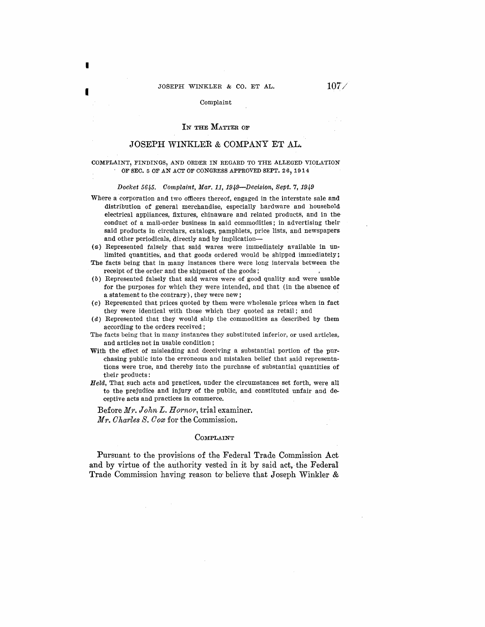I

I

#### Complaint

# IN THE MATTER OF

# JOSEPH WINKLER & COMPANY ET AL.

### COMPLAINT, FINDINGS, AND ORDER IN REGARD TO THE ALLEGED VIOLATION OF SEC. 5 OF AN ACT OF CONGRESS APPROVED SEPT. 26, 1914

#### Docket 5645. Complaint, Mar. 11, 1949-Decision, Sept. 7, 1949

- Where a corporation and two officers thereof, engaged in the interstate sale and distribution of general merchandise, especially hardware and household electrical appliances, fixtures, chinaware and related products, and in the· conduct of a mail-order business in said commodities; in advertising their· said products in circulars, catalogs, pamphlets, price lists, and newspapers and other periodicals, directly and by implication--
- (a) Represented falsely that said wares were immediately available in unlimited quantities, and that goods ordered would be shipped immediately; The facts being that in many instances there were long intervals between the
- receipt of the order and the shipment of the goods;
- (b) Represented falsely that said wares were of good quality and were usablefor the purposes for which they were intended, and that (in the absence of a statement to the contrary), they were new;
- (c) Represented that prices quoted by them were wholesale prices when in fact they were identical with those which they quoted as retail; and
- $(d)$  Represented that they would ship the commodities as described by them according to the orders received ;
- The facts being that in many instances they substituted inferior, or used articles,. and articles not in usable condition;
- **With** the effect of misleading and deceiving a substantial portion of the purchasing public into the erroneous and mistaken belief that said representations were true, and thereby into the purchase of substantial quantities of their products:
- Held, That such acts and practices, under the circumstances set forth, were all to the prejudice and injury of the public, and constituted unfair and de ceptive acts and practices in commerce.

Before *Mr. John L. Hornor,* trial examiner. Mr. *Charles S. Oom* for the Commission.

# COMPLAINT

Pursuant to the provisions of the Federal Trade Commission Act and by virtue of the authority vested in it by said act, the Federal Trade Commission having reason to believe that Joseph Winkler &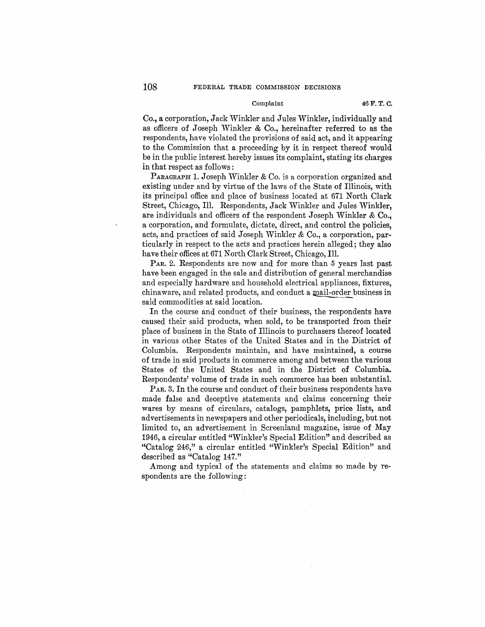# Complaint 46 F. T. C.

Co., a corporation, Jack Winkler and Jules Winkler, individually and as officers of Joseph Winkler & Co., hereinafter referred to as the respondents, have violated the provisions of said act, and it appearing to the Commission that a proceeding by it in respect thereof would be in the public interest hereby issues its complaint, stating its charges in that respect as follows :

PARAGRAPH 1. Joseph Winkler & Co. is a corporation organized and existing under and by virtue of the laws of the State of Illinois, with its princjpal office and place of business located at 671 North Clark Street, Chicago, Ill. Respondents, Jack Winkler and Jules Winkler, are individuals and officers of the respondent Joseph Winkler & Co., a corporation, and formulate, dictate, direct, and control the policies, acts, and practices of said Joseph Winkler & Co., a corporation, particularly in respect to the acts and practices herein alleged; they also have their offices at 671 North Clark Street, Chicago, Ill.

PAR. 2. Respondents are now and for more than 5 years last past have been engaged in the sale and distribution of general merchandise and especially hardware and household electrical appliances, fixtures, chinaware, and related products, and conduct a mail-order business in said commodities at said location.

In the course and conduct of their business, the respondents have caused their said products, when sold, to be transported from their place of business in the State of Illinois to purchasers thereof located in various other States of the United States and in the District of Columbia. Respondents maintain, and have maintained, a course of trade in said products in commerce among and between the various States of the United States and in the District of Columbia. Respondents' volume of trade in such commerce has been substantial

PAR. 3. In the course and conduct of their business respondents have made false and deceptive statements and claims concerning their wares by means of circulars, catalogs, pamphlets, price lists, and advertisements in newspapers and other periodicals, including, but not limited to, an advertisement in Screenland magazine, issue of May 1946, a circular entitled "Winkler's Special Edition" and described as "Catalog 246," a circular entitled "Winkler's Special Edition" and described as "Catalog 147."

Among and typical of the statements and claims so made by respondents are the following: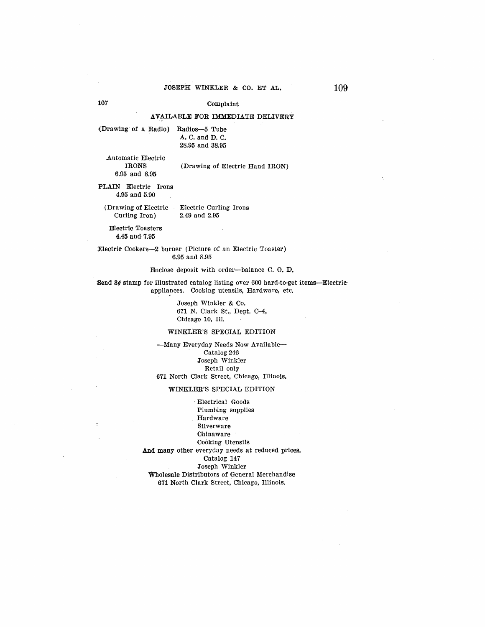# 107 Complaint

# AVAILABLE FOR IMMEDIATE DELIVERY

{Drawing of a Radio) Radios-5 Tube A. C. and D. 0. 28.95 and 38.95

Automatic Electric

# (Drawing of Electric Hand IRON)

**PLAIN** Electric Irons 4.95 and 5.90

6.95 and 8.95

.(Drawing of Electric Electric Curling Irons Curling Iron)

Electric Toasters

4.45 and 7.95

Electric Ccokers-2 burner (Picture of an Electric Toaster) 6.95 and 8.95

#### Enclose deposit with order-balance 0. 0. **D.**

:Send 3¢ stamp for illustrated catalog listing over 600 bard-to-get items-Electric appliances. Cooking utensils, Hardware, etc.

> Joseph Winkler & Co. 671 N. Clark St., Dept. C-4, Chicago 10, Ill.

#### WINKLER'S SPECIAL EDITION

-Many Everyday Needs Now Available-Catalog 246 Joseph Winkler Retail only 671 North Clark Street, Chicago, Illinois.

# **WINKLER'S** SPECIAL EDITION

Electrical Goods Plumbing supplies Hardware Silverware Chinaware Cooking Utensils And many other everyday ueeds at reduced prices. Catalog 147 Joseph Winkler Wholesale Distributors of General Merchandise 671 North Clark Street, Chicago, Illinois.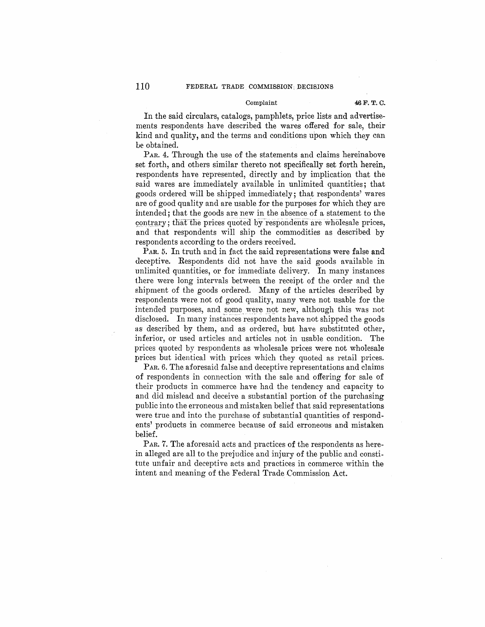#### Complaint **46F. T; C.**

In the said circulars, catalogs, pamphlets, price lists and advertise $ments$  respondents have described the wares offered for sale, their kind and quality, and the terms and conditions upon which they can be obtained.

*PAR.* 4. Through the use of the statements and claims hereinabove set forth, and others similar thereto not specifically set forth herein, respondents have represented, directly and by implication that the said wares are immediately available in unlimited quantities; that goods ordered will be shipped immediately; that respondents' wares are of good quality and are usable for the purposes for which they are intended; that the goods are new in the absence of a statement to the contrary; that the prices quoted by respondents are wholesale prices, and that respondents will ship the commodities as described by  $\,$  respondents according to the orders received. contrary; that the prices quoted by respondents are wholesale prices,

PAR. 5. In truth and in fact the said representations were false and deceptive. Respondents did not have the said goods available in unlimited quantities, or for immediate delivery. In many instances there were long intervals between the receipt of the order and the shipment of the goods ordered. Many of the articles described by respondents were not of good quality, many were not usable for the intended purposes, and some were not new, although this was not disclosed. In many instances respondents have not shipped the goods as described by them, and as ordered, but have substituted other,. inferior, or used articles and articles not in usable condition. The prices quoted by respondents as wholesale prices were not wholesale prices but identical with prices which they quoted as retail prices.

*PAR.*  6. The aforesaid false and deceptive representations and claims of respondents in connection with the sale and offering for sale of their products in commerce have had the tendency and capacity to and did mislead and deceive a substantial portion of the purchasing public into the erroneous and mistaken belief that said representationswere true and into the purchase of substantial quantities of respondents' products in commerce because of said erroneous and mistaken belief.

PAR. 7. The aforesaid acts and practices of the respondents as herein alleged are all to the prejudice and injury of the public and constitute unfair and deceptive acts and practices in commerce within the intent and meaning of the Federal Trade Commission Act.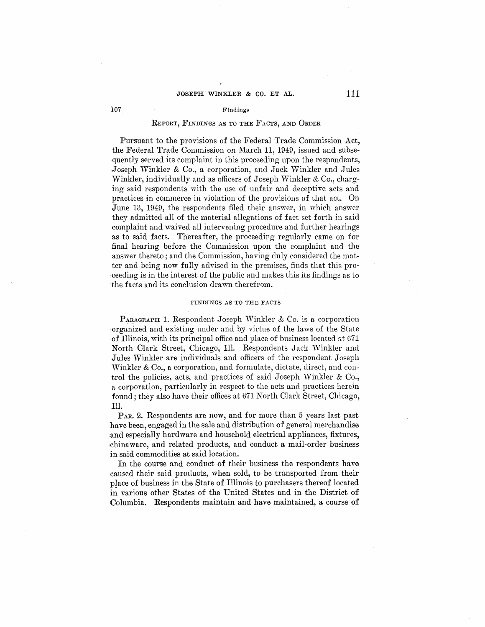#### 107 Findings

# REPORT, FINDINGS AS TO THE FACTS, AND ORDER

Pursuant to the provisions of the Federal Trade Commission Act, the Federal Trade Commission on March 11, 1949, issued and subsequently served its complaint in this proceeding upon the respondents, Joseph Winkler & Co., a corporation, and Jack Winkler and Jules Winkler, individually and as officers of Joseph Winkler & Co., charging said respondents with the use of unfair and deceptive acts and practices in commerce in violation of the provisions of that act. On .June 13, 1949, the respondents filed their answer, in which answer they admitted all of the material allegations of fact set forth in said complaint and waived all intervening procedure and further hearings as to said facts. Thereafter, the proceeding regularly came on for final hearing before the Commission upon the complaint and the answer thereto; and the Commission, having duly considered the matter and being now fully advised in the premises, finds that this proceeding is in the interest of the public and makes this its findings as to the facts and its conclusion drawn therefrom.

# **FINDINGS AS TO THE FACTS**

**PARAGRAPH 1. Respondent Joseph Winkler & Co. is a corporation** -organized and existing under and by virtue of the laws of the State of Illinois, with its principal office and place of business located at  $671$ . North Clark Street, Chicago, Ill. Respondents Jack Winkler and .Jules W'inkler are individuals and officers of the respondent Joseph Winkler & Co., a corporation, and formulate, dictate, direct, and control the policies, acts, and practices of said Joseph Winkler  $& Co.,$ .a corporation, particularly in respect to the acts and practices herein found; they also have their offices at 671 North Clark Street, Chicago, Ill.

PAR. 2. Respondents are now, and for more than 5 years last past have been, engaged in the sale and distribution of general merchandise and especially hardware and household electrical appliances, fixtures, chinaware, and related products, and conduct a mail-order business in said commodities at said location.

In the course and conduct of their business the respondents have caused their said products, when sold, to be transported from their place of business in the State of Illinois to purchasers thereof located in various other States of the United States and in the District of Columbia. Respondents maintain and have maintained, a course **of**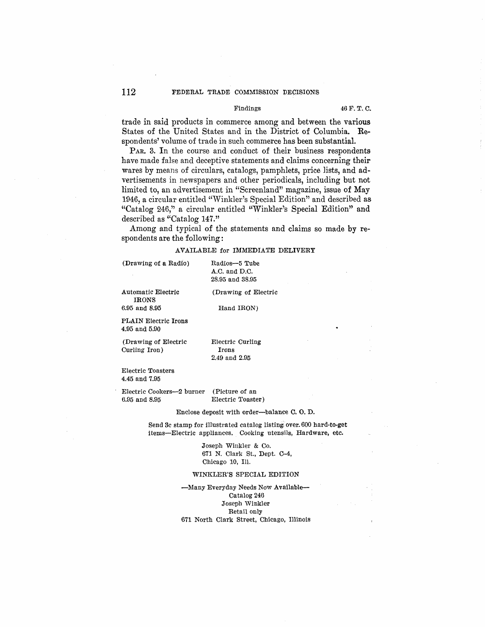# 112 FEDERAL TRADE COMMISSION DECISIONS

# Findings 46 F. T. C.

trade in said products in commerce among and between the various States of the United States and in the District of Columbia. Respondents' volume of trade in such commerce has been substantial.

PAR. 3. In the course and conduct of their business respondents have made false and deceptive statements and claims concerning their wares by means of circulars, catalogs, pamphlets, price lists, and advertisements in newspapers and other periodicals, including but not limited to, an advertisement in "Screenland" magazine, issue of May 1946, a circular entitled ''Winkler's Special Edition" and described as "Catalog 246," a circular entitled "Winkler's Special Edition" and described as "Catalog 147."

Among and typical of the statements and claims so made by respondents are the following:

# AVAILABLE for IMMEDIATE DELIVERY

(Drawing of a Radio) Radios-5 Tube

A.C. and D.C. 28.95 and 38.95

Automatic Electric IRONS<br>6.95 and 8.95

(Drawing of Electric

6.95 and 8.95 Hand **IRON)** 

PLAIN Electric Irons 4.95 and 5.90

(Drawing of Electric Curling Iron)

Electric Curling Irons 2.49 and 2.95

Electric Toasters 4.45 and 7.95

Electric Cookers-2 burner 6.95 and 8.95 (Picture of an Electric Toaster)

#### Enclose deposit with order-balance C. 0. D.

Send 3c stamp for illustrated catalog listing. over. 600 hard-to-get items-Electric appliances. Cooking utensils, Hardware, etc.

> Joseph Winkler & Co. 671 N. Clark St., Dept. 0-4, Chicago 10, Ill.

#### WINKLER'S SPECIAL EDITION

-Many Everyday Needs Now Available-Catalog 246 Joseph Winkler Retail only 671 North Clark Street, Chicago, Illinois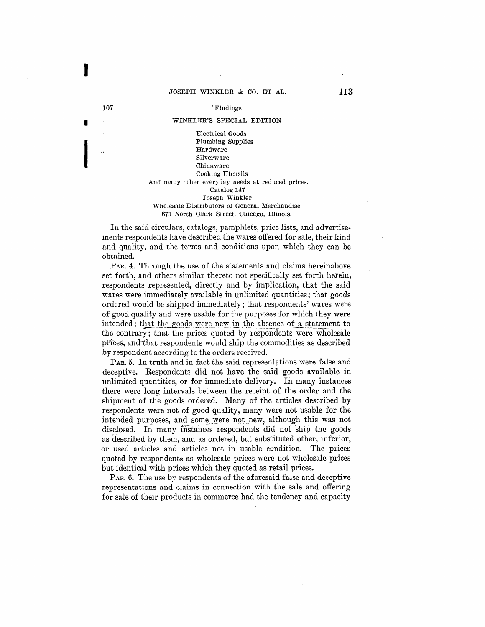# 107 Tindings

I

# WINKLER'S SPECIAL EDITION I

Electrical Goods Plumbing Supplies<br>
...<br>
Hardware<br>
Silverware<br>
Chinaware<br>
Cooking Utensils Hardware Silverware Chinaware Cooking Utensils And many other everyday needs at reduced prices. Catalog 147 Joseph Winkler Wholesale Distributors of General Merchandise 671 North Clark Street, Chicago, Illinois.

In the said circulars, catalogs, pamphlets, price lists, and advertisements respondents have described the wares offered for sale, their kind and quality, and the terms and conditions upon which they can be obtained.

PAR. 4. Through the use of the statements and claims hereinabove set forth, and others similar thereto not specifically set forth herein, respondents represented, directly and by implication, that the said wares were immediately available in unlimited quantities; that goods ordered would be shipped immediately; that respondents' wares were of good quality and were usable for the purposes for which they were intended; that the goods were new in the absence of a statement to the contrary; that the prices quoted by respondents were wholesale prices, and that respondents would ship the commodities as described by respondent according to the orders received.

P<sub>AR</sub>, 5. In truth and in fact the said representations were false and deceptive. Respondents did not have the said goods available in unlimited quantities, or for immediate delivery. In many instances there were long intervals between the receipt of the order and the shipment of the goods ordered. Many of the articles described by respondents were not of good quality, many were not usable for the intended purposes, and some were not new, although this was not disclosed. In many instances respondents did not ship the goods as described by them, and as ordered, but substituted other, inferior, or used articles and articles not in usable condition. The prices quoted by respondents as wholesale prices were not wholesale prices but identical with prices which they quoted as retail prices.

PAR. 6. The use by respondents of the aforesaid false and deceptive representations and claims in connection with the sale and offering for sale of their products in commerce had the tendency and capacity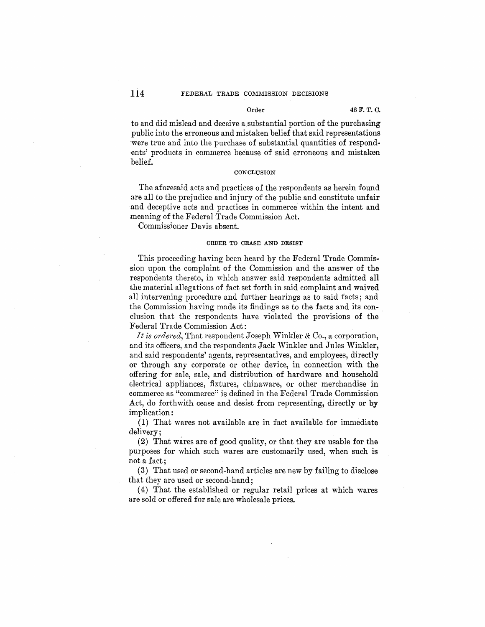to and did mislead and deceive a substantial portion of the purchasing public into the erroneous and mistaken belief that said representations were true and into the purchase of substantial quantities of respondents' products in commerce because of said erroneous and mistaken belief.

# **CONCLUSION**

The aforesaid acts and practices of the respondents as herein found are all to the prejudice and injury of the public and constitute unfair and deceptive acts and practices in commerce within the intent and meaning of the Federal Trade Commission Act.

Commissioner Davis absent.

# **ORDER TO CEASE AND DESIST**

This proceeding having been heard by the Federal Trade Commission upon the complaint of the Commission and the answer of the respondents thereto, in which answer said respondents admitted all the material allegations of fact set forth in said complaint and waived all intervening procedure and further hearings as to said facts; and the Commission having made its findings as to the facts and its con- . clusion that the respondents have violated the provisions of the Federal Trade Commission Act:

*It is ordered*, That respondent Joseph Winkler & Co., a corporation, and its officers, and the respondents Jack Winkler and Jules Winkler, and said respondents' agents, representatives, and employees, directly or through any corporate or other device, in connection with the offering for sale, sale, and distribution of hardware and household electrical appliances, fixtures, chinaware, or other merchandise in commerce as "commerce" is defined in the Federal Trade Commission Act, do forthwith cease and desist from representing, directly or by implication:

(1) That wares not available are in fact available for immediate delivery;

(2) That wares are of good quality, or that they are usable for the purposes for which such wares are customarily used, when such is not a fact:

(3) That used or second-hand articles are new by failing to disclose that they are used or second-hand;

(4) That the established or regular retail prices at which wares are sold or offered for sale are wholesale prices.